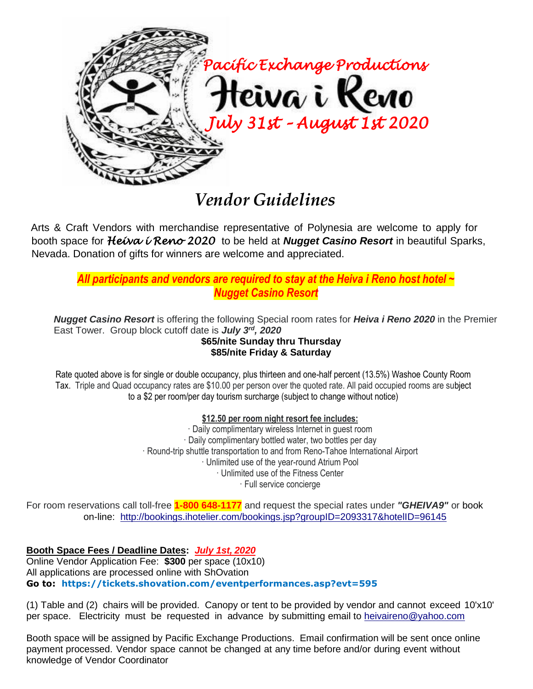

Arts & Craft Vendors with merchandise representative of Polynesia are welcome to apply for booth space for *Heiva i Reno 2020* to be held at *Nugget Casino Resort* in beautiful Sparks, Nevada. Donation of gifts for winners are welcome and appreciated.

## *All participants and vendors are required to stay at the Heiva i Reno host hotel ~ Nugget Casino Resort*

*Nugget Casino Resort* is offering the following Special room rates for *Heiva i Reno 2020* in the Premier East Tower. Group block cutoff date is *July 3rd, 2020* **\$65/nite Sunday thru Thursday**

## **\$85/nite Friday & Saturday**

Rate quoted above is for single or double occupancy, plus thirteen and one-half percent (13.5%) Washoe County Room Tax. Triple and Quad occupancy rates are \$10.00 per person over the quoted rate. All paid occupied rooms are subject to a \$2 per room/per day tourism surcharge (subject to change without notice)

## **\$12.50 per room night resort fee includes:**

· Daily complimentary wireless Internet in guest room · Daily complimentary bottled water, two bottles per day · Round-trip shuttle transportation to and from Reno-Tahoe International Airport · Unlimited use of the year-round Atrium Pool · Unlimited use of the Fitness Center · Full service concierge

For room reservations call toll-free **1-800 648-1177** and request the special rates under *"GHEIVA9"* or book on-line: <http://bookings.ihotelier.com/bookings.jsp?groupID=2093317&hotelID=96145>

**Booth Space Fees / Deadline Dates:** *July 1st, 2020* Online Vendor Application Fee: **\$300** per space (10x10) All applications are processed online with ShOvation **Go to: https://tickets.shovation.com/eventperformances.asp?evt=595**

(1) Table and (2) chairs will be provided. Canopy or tent to be provided by vendor and cannot exceed 10'x10' per space. Electricity must be requested in advance by submitting email to [heivaireno@yahoo.com](mailto:heivaireno@yahoo.com)

Booth space will be assigned by Pacific Exchange Productions. Email confirmation will be sent once online payment processed. Vendor space cannot be changed at any time before and/or during event without knowledge of Vendor Coordinator